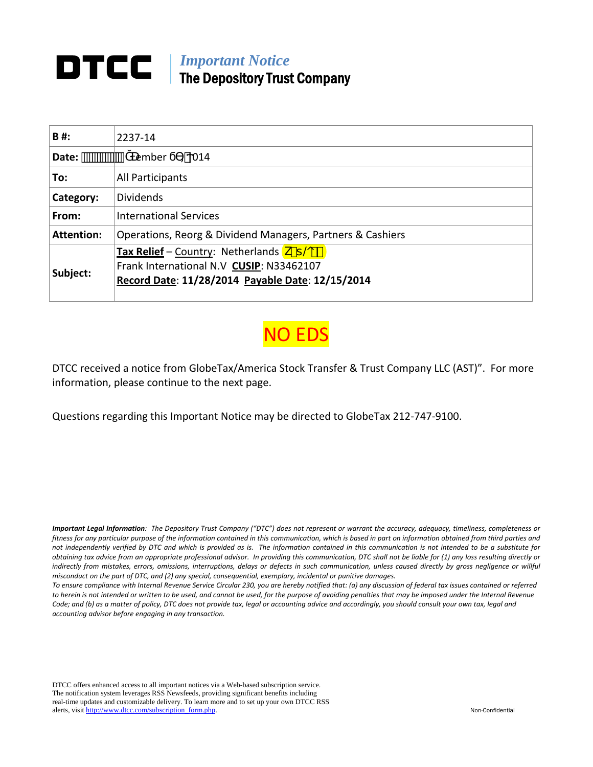# *Important Notice*  The Depository Trust Company

| B#:               | 2237-14                                                                                                                                                            |
|-------------------|--------------------------------------------------------------------------------------------------------------------------------------------------------------------|
| Date:             | ember<br>014                                                                                                                                                       |
| To:               | All Participants                                                                                                                                                   |
| Category:         | <b>Dividends</b>                                                                                                                                                   |
| From:             | <b>International Services</b>                                                                                                                                      |
| <b>Attention:</b> | Operations, Reorg & Dividend Managers, Partners & Cashiers                                                                                                         |
| Subject:          | Tax Relief – Country: Netherlands $k$ - $\uparrow$ $\circledast$ )<br>Frank International N.V CUSIP: N33462107<br>Record Date: 11/28/2014 Payable Date: 12/15/2014 |

NO EDS

DTCC received a notice from GlobeTax/America Stock Transfer & Trust Company LLC (AST)". For more information, please continue to the next page.

Questions regarding this Important Notice may be directed to GlobeTax 212‐747‐9100.

Important Legal Information: The Depository Trust Company ("DTC") does not represent or warrant the accuracy, adequacy, timeliness, completeness or fitness for any particular purpose of the information contained in this communication, which is based in part on information obtained from third parties and not independently verified by DTC and which is provided as is. The information contained in this communication is not intended to be a substitute for obtaining tax advice from an appropriate professional advisor. In providing this communication, DTC shall not be liable for (1) any loss resulting directly or indirectly from mistakes, errors, omissions, interruptions, delays or defects in such communication, unless caused directly by gross negligence or willful *misconduct on the part of DTC, and (2) any special, consequential, exemplary, incidental or punitive damages.*

To ensure compliance with Internal Revenue Service Circular 230, you are hereby notified that: (a) any discussion of federal tax issues contained or referred to herein is not intended or written to be used, and cannot be used, for the purpose of avoiding penalties that may be imposed under the Internal Revenue Code; and (b) as a matter of policy, DTC does not provide tax, legal or accounting advice and accordingly, you should consult your own tax, legal and *accounting advisor before engaging in any transaction.*

DTCC offers enhanced access to all important notices via a Web-based subscription service. The notification system leverages RSS Newsfeeds, providing significant benefits including real-time updates and customizable delivery. To learn more and to set up your own DTCC RSS alerts, visit http://www.dtcc.com/subscription\_form.php. Non-Confidential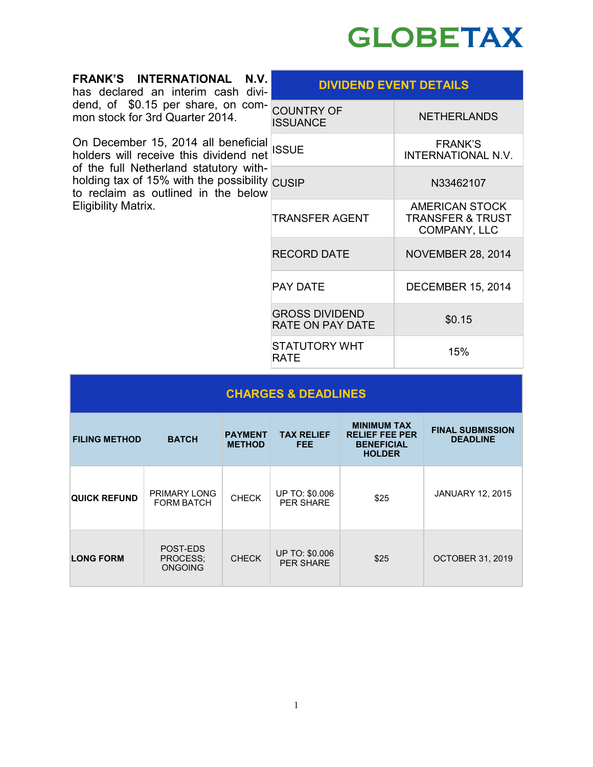

| N.V.<br>FRANK'S INTERNATIONAL<br>has declared an interim cash divi-                                                                                                                                                                              | <b>DIVIDEND EVENT DETAILS</b>                    |                                                               |  |
|--------------------------------------------------------------------------------------------------------------------------------------------------------------------------------------------------------------------------------------------------|--------------------------------------------------|---------------------------------------------------------------|--|
| dend, of \$0.15 per share, on com- COUNTRY OF<br>mon stock for 3rd Quarter 2014.                                                                                                                                                                 | <b>ISSUANCE</b>                                  | <b>NETHERLANDS</b>                                            |  |
| On December 15, 2014 all beneficial SSUE<br>holders will receive this dividend net SSUE<br>of the full Netherland statutory with-<br>holding tax of 15% with the possibility CUSIP<br>to reclaim as outlined in the below<br>Eligibility Matrix. |                                                  | <b>FRANK'S</b><br>INTERNATIONAL N.V.                          |  |
|                                                                                                                                                                                                                                                  |                                                  | N33462107                                                     |  |
|                                                                                                                                                                                                                                                  | <b>TRANSFER AGENT</b>                            | AMERICAN STOCK<br><b>TRANSFER &amp; TRUST</b><br>COMPANY, LLC |  |
|                                                                                                                                                                                                                                                  | <b>RECORD DATE</b>                               | <b>NOVEMBER 28, 2014</b>                                      |  |
|                                                                                                                                                                                                                                                  | <b>PAY DATE</b>                                  | <b>DECEMBER 15, 2014</b>                                      |  |
|                                                                                                                                                                                                                                                  | <b>GROSS DIVIDEND</b><br><b>RATE ON PAY DATE</b> | \$0.15                                                        |  |
|                                                                                                                                                                                                                                                  | STATUTORY WHT<br>RATE                            | 15%                                                           |  |

| <b>CHARGES &amp; DEADLINES</b> |                                        |                                 |                                           |                                                                                   |                                            |
|--------------------------------|----------------------------------------|---------------------------------|-------------------------------------------|-----------------------------------------------------------------------------------|--------------------------------------------|
| <b>FILING METHOD</b>           | <b>BATCH</b>                           | <b>PAYMENT</b><br><b>METHOD</b> | <b>TAX RELIEF</b><br><b>FEE</b>           | <b>MINIMUM TAX</b><br><b>RELIEF FEE PER</b><br><b>BENEFICIAL</b><br><b>HOLDER</b> | <b>FINAL SUBMISSION</b><br><b>DEADLINE</b> |
| <b>QUICK REFUND</b>            | PRIMARY LONG<br><b>FORM BATCH</b>      | <b>CHECK</b>                    | UP TO: \$0.006<br><b>PER SHARE</b>        | \$25                                                                              | <b>JANUARY 12, 2015</b>                    |
| <b>LONG FORM</b>               | POST-EDS<br>PROCESS;<br><b>ONGOING</b> | <b>CHECK</b>                    | <b>UP TO: \$0.006</b><br><b>PER SHARE</b> | \$25                                                                              | <b>OCTOBER 31, 2019</b>                    |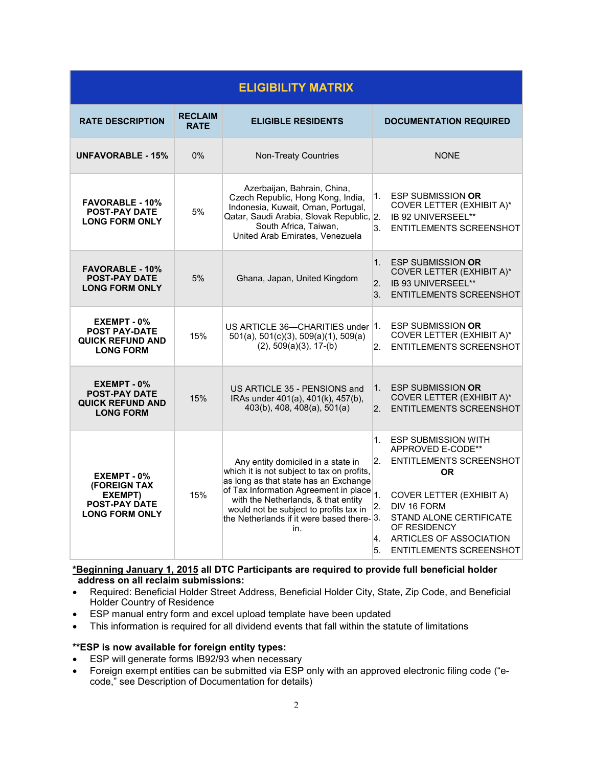| <b>ELIGIBILITY MATRIX</b>                                                               |                               |                                                                                                                                                                                                                                                                                                                    |                                                                                                                                                                                                                                                                                               |  |
|-----------------------------------------------------------------------------------------|-------------------------------|--------------------------------------------------------------------------------------------------------------------------------------------------------------------------------------------------------------------------------------------------------------------------------------------------------------------|-----------------------------------------------------------------------------------------------------------------------------------------------------------------------------------------------------------------------------------------------------------------------------------------------|--|
| <b>RATE DESCRIPTION</b>                                                                 | <b>RECLAIM</b><br><b>RATE</b> | <b>ELIGIBLE RESIDENTS</b>                                                                                                                                                                                                                                                                                          | <b>DOCUMENTATION REQUIRED</b>                                                                                                                                                                                                                                                                 |  |
| <b>UNFAVORABLE - 15%</b>                                                                | 0%                            | <b>Non-Treaty Countries</b>                                                                                                                                                                                                                                                                                        | <b>NONE</b>                                                                                                                                                                                                                                                                                   |  |
| <b>FAVORABLE - 10%</b><br><b>POST-PAY DATE</b><br><b>LONG FORM ONLY</b>                 | 5%                            | Azerbaijan, Bahrain, China,<br>Czech Republic, Hong Kong, India,<br>Indonesia, Kuwait, Oman, Portugal,<br>Qatar, Saudi Arabia, Slovak Republic, 2.<br>South Africa, Taiwan,<br>United Arab Emirates, Venezuela                                                                                                     | <b>ESP SUBMISSION OR</b><br>1.<br>COVER LETTER (EXHIBIT A)*<br>IB 92 UNIVERSEEL**<br>3.<br><b>ENTITLEMENTS SCREENSHOT</b>                                                                                                                                                                     |  |
| <b>FAVORABLE - 10%</b><br><b>POST-PAY DATE</b><br><b>LONG FORM ONLY</b>                 | 5%                            | Ghana, Japan, United Kingdom                                                                                                                                                                                                                                                                                       | <b>ESP SUBMISSION OR</b><br>$1_{-}$<br>COVER LETTER (EXHIBIT A)*<br>IB 93 UNIVERSEEL**<br>2.<br>3.<br><b>ENTITLEMENTS SCREENSHOT</b>                                                                                                                                                          |  |
| EXEMPT - 0%<br><b>POST PAY-DATE</b><br><b>QUICK REFUND AND</b><br><b>LONG FORM</b>      | 15%                           | US ARTICLE 36-CHARITIES under 1.<br>$501(a)$ , $501(c)(3)$ , $509(a)(1)$ , $509(a)$<br>$(2)$ , 509 $(a)(3)$ , 17 $-(b)$                                                                                                                                                                                            | <b>ESP SUBMISSION OR</b><br>COVER LETTER (EXHIBIT A)*<br>$2^{\circ}$<br><b>ENTITLEMENTS SCREENSHOT</b>                                                                                                                                                                                        |  |
| EXEMPT - 0%<br><b>POST-PAY DATE</b><br><b>QUICK REFUND AND</b><br><b>LONG FORM</b>      | 15%                           | US ARTICLE 35 - PENSIONS and<br>IRAs under 401(a), 401(k), 457(b),<br>403(b), 408, 408(a), 501(a)                                                                                                                                                                                                                  | <b>ESP SUBMISSION OR</b><br>1 <sup>1</sup><br>COVER LETTER (EXHIBIT A)*<br><b>ENTITLEMENTS SCREENSHOT</b><br>2 <sup>2</sup>                                                                                                                                                                   |  |
| EXEMPT - 0%<br>(FOREIGN TAX<br>EXEMPT)<br><b>POST-PAY DATE</b><br><b>LONG FORM ONLY</b> | 15%                           | Any entity domiciled in a state in<br>which it is not subject to tax on profits,<br>as long as that state has an Exchange<br>of Tax Information Agreement in place $\vert$ 1.<br>with the Netherlands, & that entity<br>would not be subject to profits tax in<br>the Netherlands if it were based there-3.<br>in. | <b>ESP SUBMISSION WITH</b><br>1.<br>APPROVED E-CODE**<br>2.<br><b>ENTITLEMENTS SCREENSHOT</b><br><b>OR</b><br><b>COVER LETTER (EXHIBIT A)</b><br>DIV 16 FORM<br>2.<br><b>STAND ALONE CERTIFICATE</b><br>OF RESIDENCY<br>ARTICLES OF ASSOCIATION<br>4.<br>5.<br><b>ENTITLEMENTS SCREENSHOT</b> |  |

#### **\*Beginning January 1, 2015 all DTC Participants are required to provide full beneficial holder address on all reclaim submissions:**

- Required: Beneficial Holder Street Address, Beneficial Holder City, State, Zip Code, and Beneficial Holder Country of Residence
- ESP manual entry form and excel upload template have been updated
- This information is required for all dividend events that fall within the statute of limitations

#### **\*\*ESP is now available for foreign entity types:**

- ESP will generate forms IB92/93 when necessary
- Foreign exempt entities can be submitted via ESP only with an approved electronic filing code ("ecode," see Description of Documentation for details)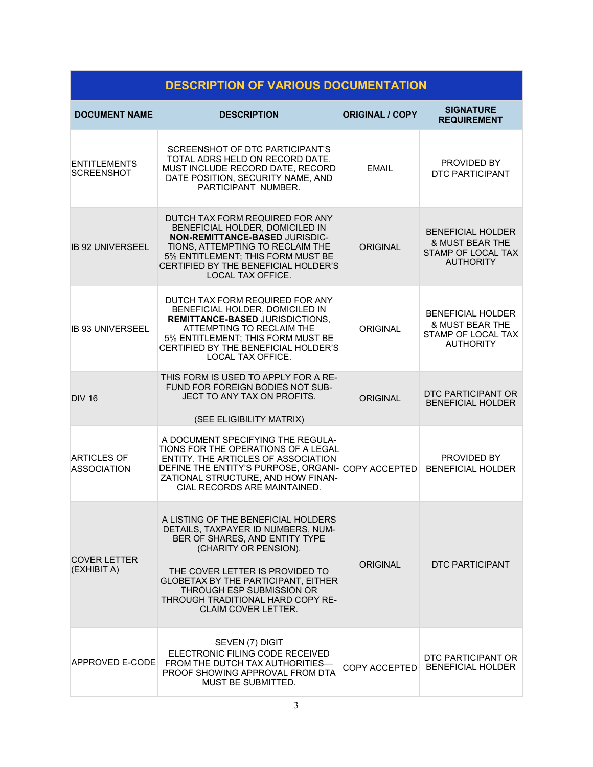| <b>DESCRIPTION OF VARIOUS DOCUMENTATION</b> |                                                                                                                                                                                                                                                                                                                       |                        |                                                                                                  |  |  |
|---------------------------------------------|-----------------------------------------------------------------------------------------------------------------------------------------------------------------------------------------------------------------------------------------------------------------------------------------------------------------------|------------------------|--------------------------------------------------------------------------------------------------|--|--|
| <b>DOCUMENT NAME</b>                        | <b>DESCRIPTION</b>                                                                                                                                                                                                                                                                                                    | <b>ORIGINAL / COPY</b> | <b>SIGNATURE</b><br><b>REQUIREMENT</b>                                                           |  |  |
| <b>ENTITLEMENTS</b><br><b>SCREENSHOT</b>    | SCREENSHOT OF DTC PARTICIPANT'S<br>TOTAL ADRS HELD ON RECORD DATE.<br>MUST INCLUDE RECORD DATE, RECORD<br>DATE POSITION, SECURITY NAME, AND<br>PARTICIPANT NUMBER.                                                                                                                                                    | <b>EMAIL</b>           | PROVIDED BY<br><b>DTC PARTICIPANT</b>                                                            |  |  |
| <b>IB 92 UNIVERSEEL</b>                     | DUTCH TAX FORM REQUIRED FOR ANY<br>BENEFICIAL HOLDER, DOMICILED IN<br>NON-REMITTANCE-BASED JURISDIC-<br>TIONS, ATTEMPTING TO RECLAIM THE<br>5% ENTITLEMENT; THIS FORM MUST BE<br>CERTIFIED BY THE BENEFICIAL HOLDER'S<br><b>LOCAL TAX OFFICE.</b>                                                                     | <b>ORIGINAL</b>        | <b>BENEFICIAL HOLDER</b><br><b>&amp; MUST BEAR THE</b><br>STAMP OF LOCAL TAX<br><b>AUTHORITY</b> |  |  |
| <b>IB 93 UNIVERSEEL</b>                     | DUTCH TAX FORM REQUIRED FOR ANY<br>BENEFICIAL HOLDER, DOMICILED IN<br><b>REMITTANCE-BASED JURISDICTIONS,</b><br>ATTEMPTING TO RECLAIM THE<br>5% ENTITLEMENT; THIS FORM MUST BE<br>CERTIFIED BY THE BENEFICIAL HOLDER'S<br>LOCAL TAX OFFICE.                                                                           | <b>ORIGINAL</b>        | <b>BENEFICIAL HOLDER</b><br><b>&amp; MUST BEAR THE</b><br>STAMP OF LOCAL TAX<br><b>AUTHORITY</b> |  |  |
| <b>DIV 16</b>                               | THIS FORM IS USED TO APPLY FOR A RE-<br>FUND FOR FOREIGN BODIES NOT SUB-<br>JECT TO ANY TAX ON PROFITS.<br>(SEE ELIGIBILITY MATRIX)                                                                                                                                                                                   | <b>ORIGINAL</b>        | DTC PARTICIPANT OR<br><b>BENEFICIAL HOLDER</b>                                                   |  |  |
| <b>ARTICLES OF</b><br><b>ASSOCIATION</b>    | A DOCUMENT SPECIFYING THE REGULA-<br>TIONS FOR THE OPERATIONS OF A LEGAL<br>ENTITY. THE ARTICLES OF ASSOCIATION<br>DEFINE THE ENTITY'S PURPOSE, ORGANI-COPY ACCEPTED<br>ZATIONAL STRUCTURE, AND HOW FINAN-<br>CIAL RECORDS ARE MAINTAINED.                                                                            |                        | PROVIDED BY<br><b>BENEFICIAL HOLDER</b>                                                          |  |  |
| <b>COVER LETTER</b><br>(EXHIBIT A)          | A LISTING OF THE BENEFICIAL HOLDERS<br>DETAILS, TAXPAYER ID NUMBERS, NUM-<br>BER OF SHARES, AND ENTITY TYPE<br>(CHARITY OR PENSION).<br>THE COVER LETTER IS PROVIDED TO<br><b>GLOBETAX BY THE PARTICIPANT, EITHER</b><br>THROUGH ESP SUBMISSION OR<br>THROUGH TRADITIONAL HARD COPY RE-<br><b>CLAIM COVER LETTER.</b> | ORIGINAL               | DTC PARTICIPANT                                                                                  |  |  |
| <b>APPROVED E-CODE</b>                      | SEVEN (7) DIGIT<br>ELECTRONIC FILING CODE RECEIVED<br>FROM THE DUTCH TAX AUTHORITIES-<br>PROOF SHOWING APPROVAL FROM DTA<br>MUST BE SUBMITTED.                                                                                                                                                                        | COPY ACCEPTED          | DTC PARTICIPANT OR<br><b>BENEFICIAL HOLDER</b>                                                   |  |  |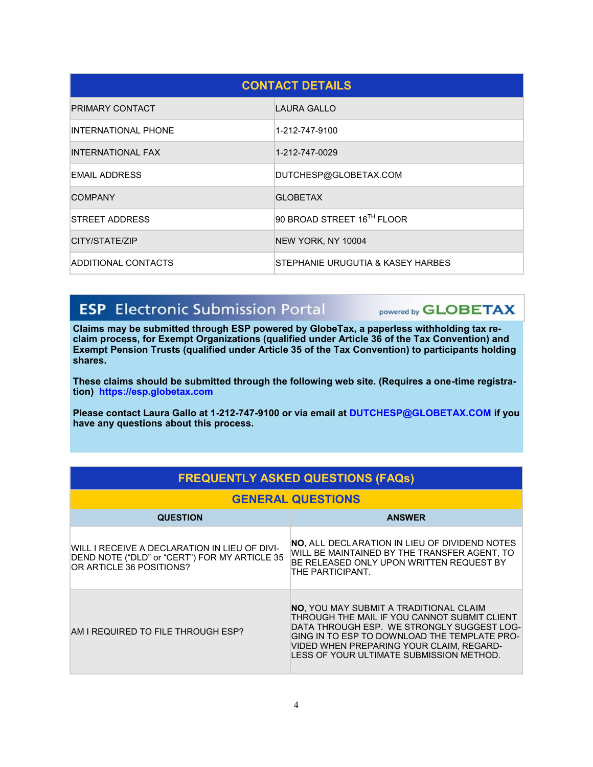| <b>CONTACT DETAILS</b>     |                                   |  |  |
|----------------------------|-----------------------------------|--|--|
| <b>PRIMARY CONTACT</b>     | LAURA GALLO                       |  |  |
| <b>INTERNATIONAL PHONE</b> | 1-212-747-9100                    |  |  |
| INTERNATIONAL FAX          | 1-212-747-0029                    |  |  |
| <b>EMAIL ADDRESS</b>       | DUTCHESP@GLOBETAX.COM             |  |  |
| <b>COMPANY</b>             | <b>GLOBETAX</b>                   |  |  |
| STREET ADDRESS             | 90 BROAD STREET 16TH FLOOR        |  |  |
| CITY/STATE/ZIP             | NEW YORK, NY 10004                |  |  |
| <b>ADDITIONAL CONTACTS</b> | STEPHANIE URUGUTIA & KASEY HARBES |  |  |

## **ESP** Electronic Submission Portal

powered by **GLOBETAX** 

**Claims may be submitted through ESP powered by GlobeTax, a paperless withholding tax reclaim process, for Exempt Organizations (qualified under Article 36 of the Tax Convention) and Exempt Pension Trusts (qualified under Article 35 of the Tax Convention) to participants holding shares.** 

**These claims should be submitted through the following web site. (Requires a one-time registration) https://esp.globetax.com**

**Please contact Laura Gallo at 1-212-747-9100 or via email at DUTCHESP@GLOBETAX.COM if you have any questions about this process.**

| <b>FREQUENTLY ASKED QUESTIONS (FAQs)</b>                                                                                   |                                                                                                                                                                                                                                                                                     |  |  |
|----------------------------------------------------------------------------------------------------------------------------|-------------------------------------------------------------------------------------------------------------------------------------------------------------------------------------------------------------------------------------------------------------------------------------|--|--|
| <b>GENERAL QUESTIONS</b>                                                                                                   |                                                                                                                                                                                                                                                                                     |  |  |
| <b>QUESTION</b>                                                                                                            | <b>ANSWER</b>                                                                                                                                                                                                                                                                       |  |  |
| WILL I RECEIVE A DECLARATION IN LIEU OF DIVI-<br>DEND NOTE ("DLD" or "CERT") FOR MY ARTICLE 35<br>OR ARTICLE 36 POSITIONS? | <b>NO. ALL DECLARATION IN LIEU OF DIVIDEND NOTES</b><br>WILL BE MAINTAINED BY THE TRANSFER AGENT, TO<br>BE RELEASED ONLY UPON WRITTEN REQUEST BY<br>THE PARTICIPANT.                                                                                                                |  |  |
| AM I REQUIRED TO FILE THROUGH ESP?                                                                                         | <b>NO.</b> YOU MAY SUBMIT A TRADITIONAL CLAIM<br>THROUGH THE MAIL IF YOU CANNOT SUBMIT CLIENT<br>DATA THROUGH ESP. WE STRONGLY SUGGEST LOG-<br>GING IN TO ESP TO DOWNLOAD THE TEMPLATE PRO-<br>VIDED WHEN PREPARING YOUR CLAIM, REGARD-<br>LESS OF YOUR ULTIMATE SUBMISSION METHOD. |  |  |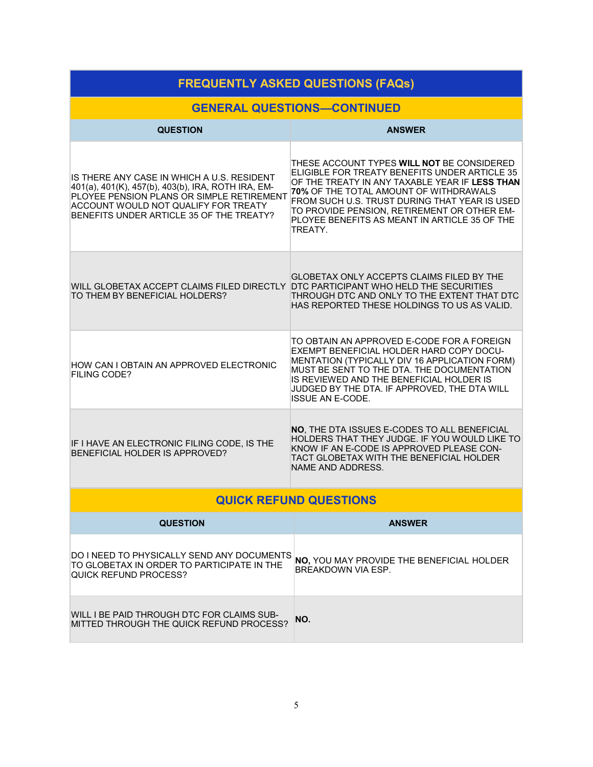| <b>FREQUENTLY ASKED QUESTIONS (FAQs)</b>                                                                                                                                                                                                 |                                                                                                                                                                                                                                                                                                                                                     |  |  |
|------------------------------------------------------------------------------------------------------------------------------------------------------------------------------------------------------------------------------------------|-----------------------------------------------------------------------------------------------------------------------------------------------------------------------------------------------------------------------------------------------------------------------------------------------------------------------------------------------------|--|--|
| <b>GENERAL QUESTIONS-CONTINUED</b>                                                                                                                                                                                                       |                                                                                                                                                                                                                                                                                                                                                     |  |  |
| <b>QUESTION</b>                                                                                                                                                                                                                          | <b>ANSWER</b>                                                                                                                                                                                                                                                                                                                                       |  |  |
| IS THERE ANY CASE IN WHICH A U.S. RESIDENT<br>401(a), 401(K), 457(b), 403(b), IRA, ROTH IRA, EM-<br>PLOYEE PENSION PLANS OR SIMPLE RETIREMENT<br><b>ACCOUNT WOULD NOT QUALIFY FOR TREATY</b><br>BENEFITS UNDER ARTICLE 35 OF THE TREATY? | THESE ACCOUNT TYPES WILL NOT BE CONSIDERED<br>ELIGIBLE FOR TREATY BENEFITS UNDER ARTICLE 35<br>OF THE TREATY IN ANY TAXABLE YEAR IF LESS THAN<br>70% OF THE TOTAL AMOUNT OF WITHDRAWALS<br>FROM SUCH U.S. TRUST DURING THAT YEAR IS USED<br>TO PROVIDE PENSION, RETIREMENT OR OTHER EM-<br>PLOYEE BENEFITS AS MEANT IN ARTICLE 35 OF THE<br>TREATY. |  |  |
| WILL GLOBETAX ACCEPT CLAIMS FILED DIRECTLY<br>TO THEM BY BENEFICIAL HOLDERS?                                                                                                                                                             | GLOBETAX ONLY ACCEPTS CLAIMS FILED BY THE<br>DTC PARTICIPANT WHO HELD THE SECURITIES<br>THROUGH DTC AND ONLY TO THE EXTENT THAT DTC<br>HAS REPORTED THESE HOLDINGS TO US AS VALID.                                                                                                                                                                  |  |  |
| HOW CAN I OBTAIN AN APPROVED ELECTRONIC<br><b>FILING CODE?</b>                                                                                                                                                                           | TO OBTAIN AN APPROVED E-CODE FOR A FOREIGN<br>EXEMPT BENEFICIAL HOLDER HARD COPY DOCU-<br>MENTATION (TYPICALLY DIV 16 APPLICATION FORM)<br>MUST BE SENT TO THE DTA. THE DOCUMENTATION<br>IS REVIEWED AND THE BENEFICIAL HOLDER IS<br>JUDGED BY THE DTA. IF APPROVED, THE DTA WILL<br>ISSUE AN E-CODE.                                               |  |  |
| IF I HAVE AN ELECTRONIC FILING CODE, IS THE<br>BENEFICIAL HOLDER IS APPROVED?                                                                                                                                                            | NO, THE DTA ISSUES E-CODES TO ALL BENEFICIAL<br>HOLDERS THAT THEY JUDGE. IF YOU WOULD LIKE TO<br>KNOW IF AN E-CODE IS APPROVED PLEASE CON-<br>TACT GLOBETAX WITH THE BENEFICIAL HOLDER<br>NAME AND ADDRESS.                                                                                                                                         |  |  |
|                                                                                                                                                                                                                                          | <b>QUICK REFUND QUESTIONS</b>                                                                                                                                                                                                                                                                                                                       |  |  |
| <b>QUESTION</b>                                                                                                                                                                                                                          | <b>ANSWER</b>                                                                                                                                                                                                                                                                                                                                       |  |  |
| DO I NEED TO PHYSICALLY SEND ANY DOCUMENTS<br>TO GLOBETAX IN ORDER TO PARTICIPATE IN THE<br>QUICK REFUND PROCESS?                                                                                                                        | NO, YOU MAY PROVIDE THE BENEFICIAL HOLDER<br>BRFAKDOWN VIA FSP.                                                                                                                                                                                                                                                                                     |  |  |
| WILL I BE PAID THROUGH DTC FOR CLAIMS SUB-<br>MITTED THROUGH THE QUICK REFUND PROCESS?                                                                                                                                                   | NO.                                                                                                                                                                                                                                                                                                                                                 |  |  |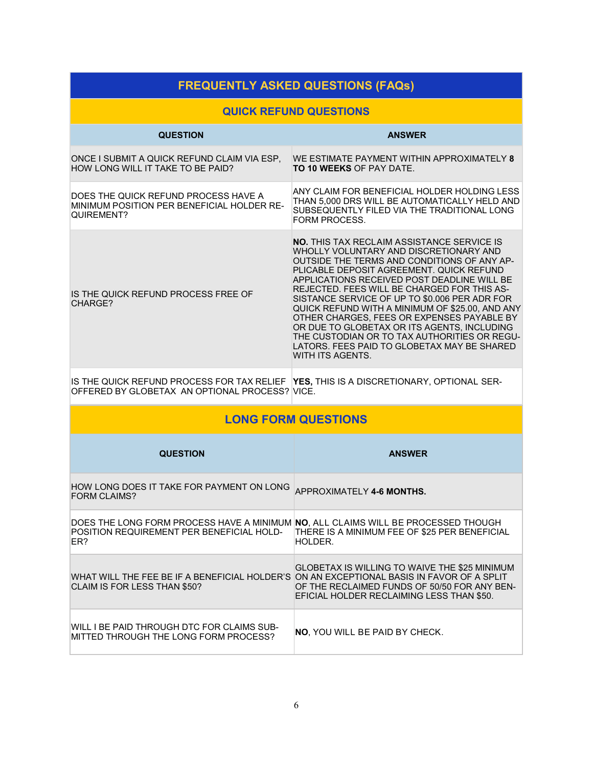| <b>FREQUENTLY ASKED QUESTIONS (FAQs)</b>                                                                                                 |                                                                                                                                                                                                                                                                                                                                                                                                                                                                                                                                                                                                          |  |  |
|------------------------------------------------------------------------------------------------------------------------------------------|----------------------------------------------------------------------------------------------------------------------------------------------------------------------------------------------------------------------------------------------------------------------------------------------------------------------------------------------------------------------------------------------------------------------------------------------------------------------------------------------------------------------------------------------------------------------------------------------------------|--|--|
| <b>QUICK REFUND QUESTIONS</b>                                                                                                            |                                                                                                                                                                                                                                                                                                                                                                                                                                                                                                                                                                                                          |  |  |
| <b>QUESTION</b>                                                                                                                          | <b>ANSWER</b>                                                                                                                                                                                                                                                                                                                                                                                                                                                                                                                                                                                            |  |  |
| ONCE I SUBMIT A QUICK REFUND CLAIM VIA ESP,<br>HOW LONG WILL IT TAKE TO BE PAID?                                                         | WE ESTIMATE PAYMENT WITHIN APPROXIMATELY 8<br><b>TO 10 WEEKS OF PAY DATE.</b>                                                                                                                                                                                                                                                                                                                                                                                                                                                                                                                            |  |  |
| DOES THE QUICK REFUND PROCESS HAVE A<br>MINIMUM POSITION PER BENEFICIAL HOLDER RE-<br>QUIREMENT?                                         | ANY CLAIM FOR BENEFICIAL HOLDER HOLDING LESS<br>THAN 5,000 DRS WILL BE AUTOMATICALLY HELD AND<br>SUBSEQUENTLY FILED VIA THE TRADITIONAL LONG<br><b>FORM PROCESS.</b>                                                                                                                                                                                                                                                                                                                                                                                                                                     |  |  |
| IS THE QUICK REFUND PROCESS FREE OF<br>CHARGE?                                                                                           | <b>NO.</b> THIS TAX RECLAIM ASSISTANCE SERVICE IS<br>WHOLLY VOLUNTARY AND DISCRETIONARY AND<br>OUTSIDE THE TERMS AND CONDITIONS OF ANY AP-<br>PLICABLE DEPOSIT AGREEMENT. QUICK REFUND<br>APPLICATIONS RECEIVED POST DEADLINE WILL BE<br>REJECTED. FEES WILL BE CHARGED FOR THIS AS-<br>SISTANCE SERVICE OF UP TO \$0.006 PER ADR FOR<br>QUICK REFUND WITH A MINIMUM OF \$25.00, AND ANY<br>OTHER CHARGES, FEES OR EXPENSES PAYABLE BY<br>OR DUE TO GLOBETAX OR ITS AGENTS, INCLUDING<br>THE CUSTODIAN OR TO TAX AUTHORITIES OR REGU-<br>LATORS. FEES PAID TO GLOBETAX MAY BE SHARED<br>WITH ITS AGENTS. |  |  |
| IS THE QUICK REFUND PROCESS FOR TAX RELIEF YES, THIS IS A DISCRETIONARY, OPTIONAL SER-<br>OFFERED BY GLOBETAX AN OPTIONAL PROCESS? VICE. |                                                                                                                                                                                                                                                                                                                                                                                                                                                                                                                                                                                                          |  |  |
|                                                                                                                                          | <b>LONG FORM QUESTIONS</b>                                                                                                                                                                                                                                                                                                                                                                                                                                                                                                                                                                               |  |  |
| <b>QUESTION</b>                                                                                                                          | <b>ANSWER</b>                                                                                                                                                                                                                                                                                                                                                                                                                                                                                                                                                                                            |  |  |
| HOW LONG DOES IT TAKE FOR PAYMENT ON LONG<br><b>FORM CLAIMS?</b>                                                                         | APPROXIMATELY 4-6 MONTHS.                                                                                                                                                                                                                                                                                                                                                                                                                                                                                                                                                                                |  |  |
| DOES THE LONG FORM PROCESS HAVE A MINIMUM NO, ALL CLAIMS WILL BE PROCESSED THOUGH<br>POSITION REQUIREMENT PER BENEFICIAL HOLD-<br>ER?    | THERE IS A MINIMUM FEE OF \$25 PER BENEFICIAL<br>HOLDER.                                                                                                                                                                                                                                                                                                                                                                                                                                                                                                                                                 |  |  |
| WHAT WILL THE FEE BE IF A BENEFICIAL HOLDER'S ON AN EXCEPTIONAL BASIS IN FAVOR OF A SPLIT<br>CLAIM IS FOR LESS THAN \$50?                | GLOBETAX IS WILLING TO WAIVE THE \$25 MINIMUM<br>OF THE RECLAIMED FUNDS OF 50/50 FOR ANY BEN-<br>EFICIAL HOLDER RECLAIMING LESS THAN \$50.                                                                                                                                                                                                                                                                                                                                                                                                                                                               |  |  |
| WILL I BE PAID THROUGH DTC FOR CLAIMS SUB-<br>MITTED THROUGH THE LONG FORM PROCESS?                                                      | NO, YOU WILL BE PAID BY CHECK.                                                                                                                                                                                                                                                                                                                                                                                                                                                                                                                                                                           |  |  |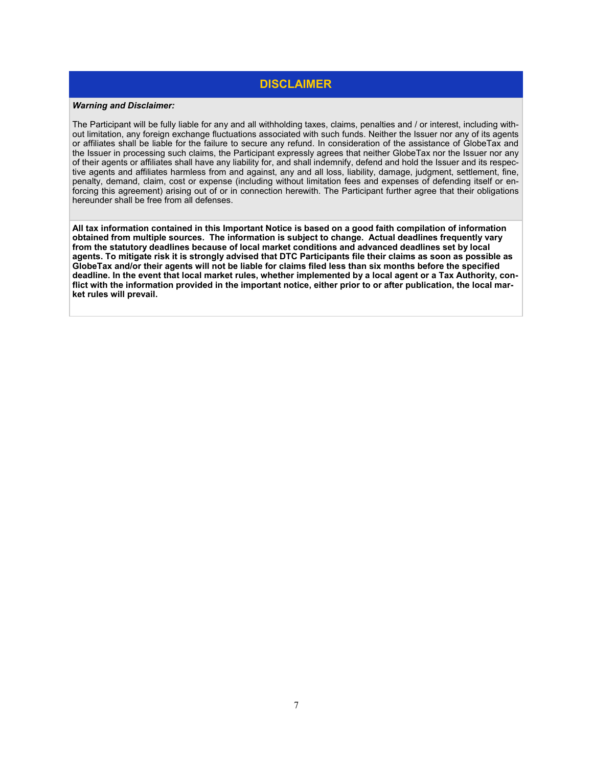### **DISCLAIMER**

#### *Warning and Disclaimer:*

The Participant will be fully liable for any and all withholding taxes, claims, penalties and / or interest, including without limitation, any foreign exchange fluctuations associated with such funds. Neither the Issuer nor any of its agents or affiliates shall be liable for the failure to secure any refund. In consideration of the assistance of GlobeTax and the Issuer in processing such claims, the Participant expressly agrees that neither GlobeTax nor the Issuer nor any of their agents or affiliates shall have any liability for, and shall indemnify, defend and hold the Issuer and its respective agents and affiliates harmless from and against, any and all loss, liability, damage, judgment, settlement, fine, penalty, demand, claim, cost or expense (including without limitation fees and expenses of defending itself or enforcing this agreement) arising out of or in connection herewith. The Participant further agree that their obligations hereunder shall be free from all defenses.

**All tax information contained in this Important Notice is based on a good faith compilation of information obtained from multiple sources. The information is subject to change. Actual deadlines frequently vary from the statutory deadlines because of local market conditions and advanced deadlines set by local agents. To mitigate risk it is strongly advised that DTC Participants file their claims as soon as possible as GlobeTax and/or their agents will not be liable for claims filed less than six months before the specified deadline. In the event that local market rules, whether implemented by a local agent or a Tax Authority, conflict with the information provided in the important notice, either prior to or after publication, the local market rules will prevail.**